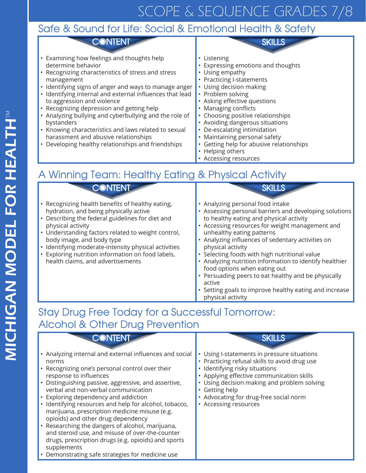# SCOPE & SEQUENCE GRADES 7/8

### Safe & Sound for Life: Social & Emotional Health & Safety

• Examining how feelings and thoughts help determine behavior

• Recognizing characteristics of stress and stress management

**CONTENT** 

- Identifying signs of anger and ways to manage anger
- Identifying internal and external influences that lead to aggression and violence
- Recognizing depression and getting help
- Analyzing bullying and cyberbullying and the role of bystanders
- Knowing characteristics and laws related to sexual harassment and abusive relationships
- Developing healthy relationships and friendships

• Listening

**SKILLS** 

- Expressing emotions and thoughts
- Using empathy
- Practicing I-statements
- Using decision making
- Problem solving
- Asking effective questions
- Managing conflicts
- Choosing positive relationships
- Avoiding dangerous situations
- De-escalating intimidation
- Maintaining personal safety
- Getting help for abusive relationships
- Helping others
- Accessing resources

## A Winning Team: Healthy Eating & Physical Activity

**CONTENT** 

- Recognizing health benefits of healthy eating, hydration, and being physically active
- Describing the federal guidelines for diet and physical activity
- Understanding factors related to weight control, body image, and body type
- Identifying moderate-intensity physical activities
- Exploring nutrition information on food labels, health claims, and advertisements

### **SKILLS**

- Analyzing personal food intake
- Assessing personal barriers and developing solutions to healthy eating and physical activity
- Accessing resources for weight management and unhealthy eating patterns
- Analyzing influences of sedentary activities on physical activity
- Selecting foods with high nutritional value
- Analyzing nutrition information to identify healthier food options when eating out
- Persuading peers to eat healthy and be physically active
- Setting goals to improve healthy eating and increase physical activity

### Stay Drug Free Today for a Successful Tomorrow: Alcohol & Other Drug Prevention

| CONTENT                                                                                                                                                                                                                                                                                                                                                                                                                                                                                                                                                                                                                                                              | <b>SKILLS</b>                                                                                                                                                                                                                                                                                               |
|----------------------------------------------------------------------------------------------------------------------------------------------------------------------------------------------------------------------------------------------------------------------------------------------------------------------------------------------------------------------------------------------------------------------------------------------------------------------------------------------------------------------------------------------------------------------------------------------------------------------------------------------------------------------|-------------------------------------------------------------------------------------------------------------------------------------------------------------------------------------------------------------------------------------------------------------------------------------------------------------|
| • Analyzing internal and external influences and social<br>norms<br>• Recognizing one's personal control over their<br>response to influences<br>• Distinguishing passive, aggressive, and assertive,<br>verbal and non-verbal communication<br>• Exploring dependency and addiction<br>• Identifying resources and help for alcohol, tobacco,<br>marijuana, prescription medicine misuse (e.g.<br>opioids) and other drug dependency<br>• Researching the dangers of alcohol, marijuana,<br>and steroid use, and misuse of over-the-counter<br>drugs, prescription drugs (e.g. opioids) and sports<br>supplements<br>Demonstrating safe strategies for medicine use | Using I-statements in pressure situations<br>• Practicing refusal skills to avoid drug use<br>· Identifying risky situations<br>• Applying effective communication skills<br>Using decision making and problem solving<br>• Getting help<br>• Advocating for drug-free social norm<br>• Accessing resources |